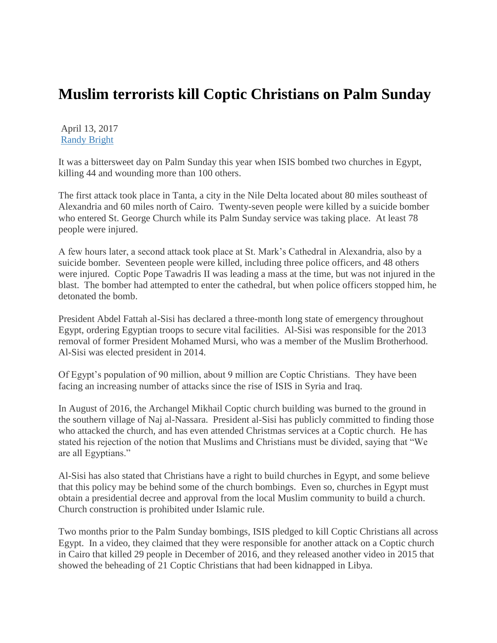## **Muslim terrorists kill Coptic Christians on Palm Sunday**

April 13, 2017 [Randy Bright](http://tulsabeacon.com/author/randy-bright/)

It was a bittersweet day on Palm Sunday this year when ISIS bombed two churches in Egypt, killing 44 and wounding more than 100 others.

The first attack took place in Tanta, a city in the Nile Delta located about 80 miles southeast of Alexandria and 60 miles north of Cairo. Twenty-seven people were killed by a suicide bomber who entered St. George Church while its Palm Sunday service was taking place. At least 78 people were injured.

A few hours later, a second attack took place at St. Mark"s Cathedral in Alexandria, also by a suicide bomber. Seventeen people were killed, including three police officers, and 48 others were injured. Coptic Pope Tawadris II was leading a mass at the time, but was not injured in the blast. The bomber had attempted to enter the cathedral, but when police officers stopped him, he detonated the bomb.

President Abdel Fattah al-Sisi has declared a three-month long state of emergency throughout Egypt, ordering Egyptian troops to secure vital facilities. Al-Sisi was responsible for the 2013 removal of former President Mohamed Mursi, who was a member of the Muslim Brotherhood. Al-Sisi was elected president in 2014.

Of Egypt"s population of 90 million, about 9 million are Coptic Christians. They have been facing an increasing number of attacks since the rise of ISIS in Syria and Iraq.

In August of 2016, the Archangel Mikhail Coptic church building was burned to the ground in the southern village of Naj al-Nassara. President al-Sisi has publicly committed to finding those who attacked the church, and has even attended Christmas services at a Coptic church. He has stated his rejection of the notion that Muslims and Christians must be divided, saying that "We are all Egyptians."

Al-Sisi has also stated that Christians have a right to build churches in Egypt, and some believe that this policy may be behind some of the church bombings. Even so, churches in Egypt must obtain a presidential decree and approval from the local Muslim community to build a church. Church construction is prohibited under Islamic rule.

Two months prior to the Palm Sunday bombings, ISIS pledged to kill Coptic Christians all across Egypt. In a video, they claimed that they were responsible for another attack on a Coptic church in Cairo that killed 29 people in December of 2016, and they released another video in 2015 that showed the beheading of 21 Coptic Christians that had been kidnapped in Libya.